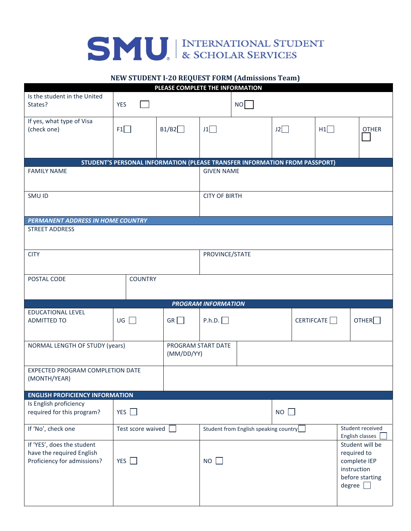## SMU INTERNATIONAL STUDENT

## **NEW STUDENT I-20 REQUEST FORM (Admissions Team)**

| PLEASE COMPLETE THE INFORMATION                                                        |                                                                            |       |                                       |    |    |  |            |                                                                                                   |  |
|----------------------------------------------------------------------------------------|----------------------------------------------------------------------------|-------|---------------------------------------|----|----|--|------------|---------------------------------------------------------------------------------------------------|--|
| Is the student in the United<br>States?                                                | <b>YES</b>                                                                 |       |                                       | NO |    |  |            |                                                                                                   |  |
| If yes, what type of Visa<br>(check one)                                               | F1                                                                         | B1/B2 | J1                                    |    | J2 |  | H1         | <b>OTHER</b>                                                                                      |  |
|                                                                                        |                                                                            |       |                                       |    |    |  |            |                                                                                                   |  |
|                                                                                        | STUDENT'S PERSONAL INFORMATION (PLEASE TRANSFER INFORMATION FROM PASSPORT) |       |                                       |    |    |  |            |                                                                                                   |  |
| <b>FAMILY NAME</b>                                                                     |                                                                            |       | <b>GIVEN NAME</b>                     |    |    |  |            |                                                                                                   |  |
| SMU ID                                                                                 | <b>CITY OF BIRTH</b>                                                       |       |                                       |    |    |  |            |                                                                                                   |  |
| <b>PERMANENT ADDRESS IN HOME COUNTRY</b>                                               |                                                                            |       |                                       |    |    |  |            |                                                                                                   |  |
| <b>STREET ADDRESS</b>                                                                  |                                                                            |       |                                       |    |    |  |            |                                                                                                   |  |
| <b>CITY</b>                                                                            |                                                                            |       | PROVINCE/STATE                        |    |    |  |            |                                                                                                   |  |
| POSTAL CODE                                                                            | <b>COUNTRY</b>                                                             |       |                                       |    |    |  |            |                                                                                                   |  |
|                                                                                        |                                                                            |       | <b>PROGRAM INFORMATION</b>            |    |    |  |            |                                                                                                   |  |
| <b>EDUCATIONAL LEVEL</b><br><b>ADMITTED TO</b>                                         | $\cup$ G $\Box$                                                            | GR    | P.h.D.                                |    |    |  | CERTIFCATE | OTHER                                                                                             |  |
| NORMAL LENGTH OF STUDY (years)<br>(MM/DD/YY)                                           |                                                                            |       | PROGRAM START DATE                    |    |    |  |            |                                                                                                   |  |
| EXPECTED PROGRAM COMPLETION DATE<br>(MONTH/YEAR)                                       |                                                                            |       |                                       |    |    |  |            |                                                                                                   |  |
| <b>ENGLISH PROFICIENCY INFORMATION</b>                                                 |                                                                            |       |                                       |    |    |  |            |                                                                                                   |  |
| Is English proficiency<br>required for this program?                                   | YES                                                                        |       | NO                                    |    |    |  |            |                                                                                                   |  |
| If 'No', check one                                                                     | Test score waived                                                          |       | Student from English speaking country |    |    |  |            | Student received<br>English classes                                                               |  |
| If 'YES', does the student<br>have the required English<br>Proficiency for admissions? | YES                                                                        |       | NO                                    |    |    |  |            | Student will be<br>required to<br>complete IEP<br>instruction<br>before starting<br>degree $\Box$ |  |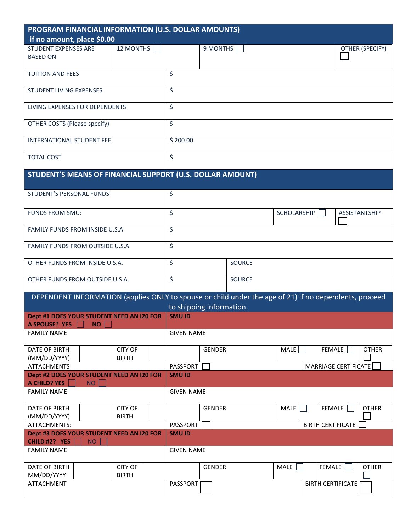| PROGRAM FINANCIAL INFORMATION (U.S. DOLLAR AMOUNTS)                                                   |                                |                          |               |               |               |        |                          |                 |  |
|-------------------------------------------------------------------------------------------------------|--------------------------------|--------------------------|---------------|---------------|---------------|--------|--------------------------|-----------------|--|
| if no amount, place \$0.00                                                                            |                                |                          |               |               |               |        |                          |                 |  |
| <b>STUDENT EXPENSES ARE</b><br><b>BASED ON</b>                                                        | 12 MONTHS                      |                          | 9 MONTHS      |               |               |        |                          | OTHER (SPECIFY) |  |
| <b>TUITION AND FEES</b>                                                                               |                                | \$                       |               |               |               |        |                          |                 |  |
| <b>STUDENT LIVING EXPENSES</b>                                                                        |                                | \$                       |               |               |               |        |                          |                 |  |
| LIVING EXPENSES FOR DEPENDENTS                                                                        |                                | \$                       |               |               |               |        |                          |                 |  |
| OTHER COSTS (Please specify)                                                                          |                                | \$                       |               |               |               |        |                          |                 |  |
| <b>INTERNATIONAL STUDENT FEE</b>                                                                      | \$200.00                       |                          |               |               |               |        |                          |                 |  |
| <b>TOTAL COST</b>                                                                                     |                                | \$                       |               |               |               |        |                          |                 |  |
| STUDENT'S MEANS OF FINANCIAL SUPPORT (U.S. DOLLAR AMOUNT)                                             |                                |                          |               |               |               |        |                          |                 |  |
| STUDENT'S PERSONAL FUNDS                                                                              |                                | \$                       |               |               |               |        |                          |                 |  |
| FUNDS FROM SMU:                                                                                       | \$<br>SCHOLARSHIP              |                          |               |               | ASSISTANTSHIP |        |                          |                 |  |
| FAMILY FUNDS FROM INSIDE U.S.A                                                                        | \$                             |                          |               |               |               |        |                          |                 |  |
| FAMILY FUNDS FROM OUTSIDE U.S.A.                                                                      | \$                             |                          |               |               |               |        |                          |                 |  |
| OTHER FUNDS FROM INSIDE U.S.A.                                                                        |                                | \$                       |               | <b>SOURCE</b> |               |        |                          |                 |  |
| OTHER FUNDS FROM OUTSIDE U.S.A.                                                                       |                                | \$                       |               | <b>SOURCE</b> |               |        |                          |                 |  |
| DEPENDENT INFORMATION (applies ONLY to spouse or child under the age of 21) if no dependents, proceed |                                | to shipping information. |               |               |               |        |                          |                 |  |
| Dept #1 DOES YOUR STUDENT NEED AN I20 FOR                                                             |                                | <b>SMU ID</b>            |               |               |               |        |                          |                 |  |
| A SPOUSE? YES NO                                                                                      |                                |                          |               |               |               |        |                          |                 |  |
| <b>FAMILY NAME</b>                                                                                    |                                | <b>GIVEN NAME</b>        |               |               |               |        |                          |                 |  |
| DATE OF BIRTH<br>(MM/DD/YYYY)                                                                         | <b>CITY OF</b><br><b>BIRTH</b> |                          | GENDER        |               | MALE          | FEMALE |                          | <b>OTHER</b>    |  |
| <b>ATTACHMENTS</b>                                                                                    |                                | PASSPORT                 |               |               |               |        | MARRIAGE CERTIFICATE     |                 |  |
| Dept #2 DOES YOUR STUDENT NEED AN I20 FOR<br>A CHILD? YES<br><b>NO</b>                                |                                | <b>SMU ID</b>            |               |               |               |        |                          |                 |  |
| <b>FAMILY NAME</b>                                                                                    |                                | <b>GIVEN NAME</b>        |               |               |               |        |                          |                 |  |
| DATE OF BIRTH<br>(MM/DD/YYYY)                                                                         | <b>CITY OF</b><br><b>BIRTH</b> |                          | <b>GENDER</b> |               | MALE          | FEMALE |                          | <b>OTHER</b>    |  |
| ATTACHMENTS:                                                                                          |                                | PASSPORT                 |               |               |               |        | <b>BIRTH CERTIFICATE</b> |                 |  |
| Dept #3 DOES YOUR STUDENT NEED AN I20 FOR<br>CHILD #2? YES<br><b>NO</b>                               |                                | <b>SMU ID</b>            |               |               |               |        |                          |                 |  |
| <b>FAMILY NAME</b>                                                                                    |                                | <b>GIVEN NAME</b>        |               |               |               |        |                          |                 |  |
| DATE OF BIRTH<br>MM/DD/YYYY                                                                           | <b>CITY OF</b><br><b>BIRTH</b> |                          | GENDER        |               | MALE          | FEMALE |                          | <b>OTHER</b>    |  |
| ATTACHMENT                                                                                            |                                | PASSPORT                 |               |               |               |        | <b>BIRTH CERTIFICATE</b> |                 |  |